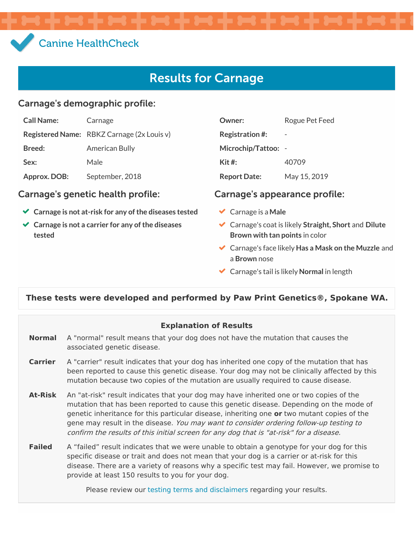# Canine [HealthCheck](file:///)

# Results for Carnage

#### Carnage's demographic profile:

| <b>Call Name:</b> | Carnage                                    |
|-------------------|--------------------------------------------|
|                   | Registered Name: RBKZ Carnage (2x Louis v) |
| <b>Breed:</b>     | <b>American Bully</b>                      |
| Sex:              | Male                                       |
| Approx. DOB:      | September, 2018                            |

#### Carnage's genetic health profile: Carnage's appearance profile:

- **Carnage is not at-risk for any of the diseases tested**
- **Carnage is not a carrier for any of the diseases tested**

| Owner:                  | Rogue Pet Feed |
|-------------------------|----------------|
| <b>Registration #:</b>  |                |
| Microchip/Tattoo:       |                |
| $\operatorname{Kit}$ #: | 40709          |
| <b>Report Date:</b>     | May 15, 2019   |

- Carnage is a **Male**
- Carnage's coat is likely **Straight, Short** and **Dilute Brown with tan points** in color
- Carnage's face likely **Has a Mask on the Muzzle** and a **Brown** nose
- Carnage's tail is likely **Normal** in length

#### **These tests were developed and performed by Paw Print Genetics®, Spokane WA.**

#### **Explanation of Results**

- **Normal** A "normal" result means that your dog does not have the mutation that causes the associated genetic disease.
- **Carrier** A "carrier" result indicates that your dog has inherited one copy of the mutation that has been reported to cause this genetic disease. Your dog may not be clinically affected by this mutation because two copies of the mutation are usually required to cause disease.
- **At-Risk** An "at-risk" result indicates that your dog may have inherited one or two copies of the mutation that has been reported to cause this genetic disease. Depending on the mode of genetic inheritance for this particular disease, inheriting one **or** two mutant copies of the gene may result in the disease. You may want to consider ordering follow-up testing to confirm the results of this initial screen for any dog that is "at-risk" for <sup>a</sup> disease.
- **Failed** A "failed" result indicates that we were unable to obtain a genotype for your dog for this specific disease or trait and does not mean that your dog is a carrier or at-risk for this disease. There are a variety of reasons why a specific test may fail. However, we promise to provide at least 150 results to you for your dog.

Please review our testing terms and [disclaimers](https://www.caninehealthcheck.com/terms-and-disclaimers/) regarding your results.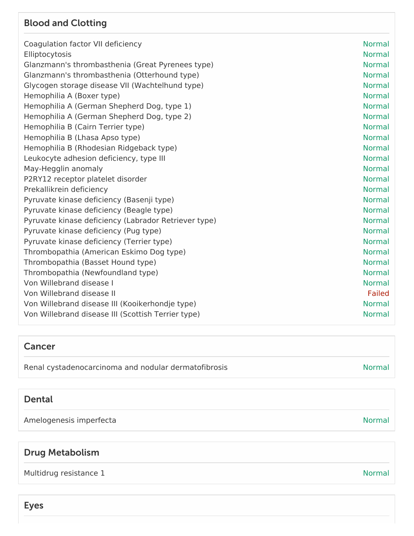#### Blood and Clotting

| Coagulation factor VII deficiency                    | <b>Normal</b> |
|------------------------------------------------------|---------------|
| Elliptocytosis                                       | <b>Normal</b> |
| Glanzmann's thrombasthenia (Great Pyrenees type)     | <b>Normal</b> |
| Glanzmann's thrombasthenia (Otterhound type)         | <b>Normal</b> |
| Glycogen storage disease VII (Wachtelhund type)      | <b>Normal</b> |
| Hemophilia A (Boxer type)                            | <b>Normal</b> |
| Hemophilia A (German Shepherd Dog, type 1)           | <b>Normal</b> |
| Hemophilia A (German Shepherd Dog, type 2)           | <b>Normal</b> |
| Hemophilia B (Cairn Terrier type)                    | <b>Normal</b> |
| Hemophilia B (Lhasa Apso type)                       | <b>Normal</b> |
| Hemophilia B (Rhodesian Ridgeback type)              | <b>Normal</b> |
| Leukocyte adhesion deficiency, type III              | <b>Normal</b> |
| May-Hegglin anomaly                                  | <b>Normal</b> |
| P2RY12 receptor platelet disorder                    | <b>Normal</b> |
| Prekallikrein deficiency                             | <b>Normal</b> |
| Pyruvate kinase deficiency (Basenji type)            | <b>Normal</b> |
| Pyruvate kinase deficiency (Beagle type)             | <b>Normal</b> |
| Pyruvate kinase deficiency (Labrador Retriever type) | <b>Normal</b> |
| Pyruvate kinase deficiency (Pug type)                | <b>Normal</b> |
| Pyruvate kinase deficiency (Terrier type)            | <b>Normal</b> |
| Thrombopathia (American Eskimo Dog type)             | <b>Normal</b> |
| Thrombopathia (Basset Hound type)                    | <b>Normal</b> |
| Thrombopathia (Newfoundland type)                    | <b>Normal</b> |
| Von Willebrand disease I                             | <b>Normal</b> |
| Von Willebrand disease II                            | <b>Failed</b> |
| Von Willebrand disease III (Kooikerhondje type)      | <b>Normal</b> |
| Von Willebrand disease III (Scottish Terrier type)   | <b>Normal</b> |

#### Cancer

Renal cystadenocarcinoma and nodular dermatofibrosis Normal Renal cystadenocarcinoma and nodular dermatofibrosis

#### Dental

Amelogenesis imperfecta and a state of the state of the state of the Normal Normal

## Drug Metabolism

Multidrug resistance 1 and 1 Normal number of the United States of the United States and Normal Normal

Eyes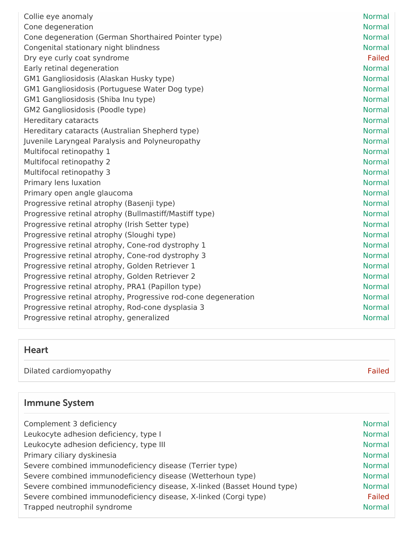| Collie eye anomaly                                             | <b>Normal</b> |
|----------------------------------------------------------------|---------------|
| Cone degeneration                                              | <b>Normal</b> |
| Cone degeneration (German Shorthaired Pointer type)            | <b>Normal</b> |
| Congenital stationary night blindness                          | <b>Normal</b> |
| Dry eye curly coat syndrome                                    | Failed        |
| Early retinal degeneration                                     | <b>Normal</b> |
| GM1 Gangliosidosis (Alaskan Husky type)                        | <b>Normal</b> |
| GM1 Gangliosidosis (Portuguese Water Dog type)                 | <b>Normal</b> |
| GM1 Gangliosidosis (Shiba Inu type)                            | <b>Normal</b> |
| GM2 Gangliosidosis (Poodle type)                               | <b>Normal</b> |
| <b>Hereditary cataracts</b>                                    | <b>Normal</b> |
| Hereditary cataracts (Australian Shepherd type)                | <b>Normal</b> |
| Juvenile Laryngeal Paralysis and Polyneuropathy                | <b>Normal</b> |
| Multifocal retinopathy 1                                       | <b>Normal</b> |
| Multifocal retinopathy 2                                       | <b>Normal</b> |
| Multifocal retinopathy 3                                       | <b>Normal</b> |
| Primary lens luxation                                          | <b>Normal</b> |
| Primary open angle glaucoma                                    | <b>Normal</b> |
| Progressive retinal atrophy (Basenji type)                     | <b>Normal</b> |
| Progressive retinal atrophy (Bullmastiff/Mastiff type)         | <b>Normal</b> |
| Progressive retinal atrophy (Irish Setter type)                | <b>Normal</b> |
| Progressive retinal atrophy (Sloughi type)                     | <b>Normal</b> |
| Progressive retinal atrophy, Cone-rod dystrophy 1              | <b>Normal</b> |
| Progressive retinal atrophy, Cone-rod dystrophy 3              | <b>Normal</b> |
| Progressive retinal atrophy, Golden Retriever 1                | <b>Normal</b> |
| Progressive retinal atrophy, Golden Retriever 2                | <b>Normal</b> |
| Progressive retinal atrophy, PRA1 (Papillon type)              | <b>Normal</b> |
| Progressive retinal atrophy, Progressive rod-cone degeneration | <b>Normal</b> |
| Progressive retinal atrophy, Rod-cone dysplasia 3              | <b>Normal</b> |
| Progressive retinal atrophy, generalized                       | <b>Normal</b> |

# Heart

Dilated cardiomyopathy Failed

# Immune System

| Complement 3 deficiency                                                | <b>Normal</b> |
|------------------------------------------------------------------------|---------------|
| Leukocyte adhesion deficiency, type I                                  | <b>Normal</b> |
| Leukocyte adhesion deficiency, type III                                | <b>Normal</b> |
| Primary ciliary dyskinesia                                             | <b>Normal</b> |
| Severe combined immunodeficiency disease (Terrier type)                | <b>Normal</b> |
| Severe combined immunodeficiency disease (Wetterhoun type)             | <b>Normal</b> |
| Severe combined immunodeficiency disease, X-linked (Basset Hound type) | <b>Normal</b> |
| Severe combined immunodeficiency disease, X-linked (Corgi type)        | Failed        |
| Trapped neutrophil syndrome                                            | <b>Normal</b> |
|                                                                        |               |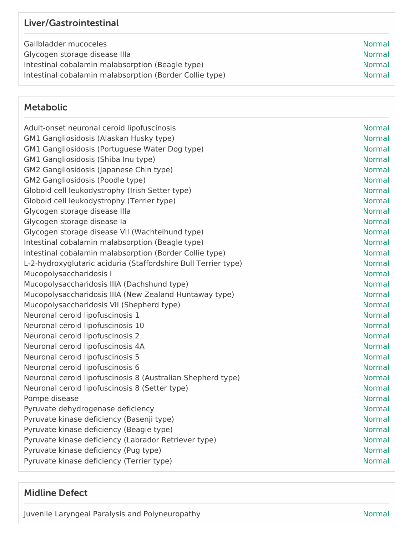## Liver/Gastrointestinal

Gallbladder mucoceles Normal Glycogen storage disease IIIa  $\blacksquare$ Intestinal cobalamin malabsorption (Beagle type) Normal Normal Intestinal cobalamin malabsorption (Border Collie type) Normal

#### Metabolic

| Adult-onset neuronal ceroid lipofuscinosis                     | <b>Normal</b> |
|----------------------------------------------------------------|---------------|
| GM1 Gangliosidosis (Alaskan Husky type)                        | <b>Normal</b> |
| GM1 Gangliosidosis (Portuguese Water Dog type)                 | <b>Normal</b> |
| GM1 Gangliosidosis (Shiba Inu type)                            | <b>Normal</b> |
| GM2 Gangliosidosis (Japanese Chin type)                        | <b>Normal</b> |
| GM2 Gangliosidosis (Poodle type)                               | <b>Normal</b> |
| Globoid cell leukodystrophy (Irish Setter type)                | <b>Normal</b> |
| Globoid cell leukodystrophy (Terrier type)                     | <b>Normal</b> |
| Glycogen storage disease Illa                                  | <b>Normal</b> |
| Glycogen storage disease la                                    | <b>Normal</b> |
| Glycogen storage disease VII (Wachtelhund type)                | <b>Normal</b> |
| Intestinal cobalamin malabsorption (Beagle type)               | <b>Normal</b> |
| Intestinal cobalamin malabsorption (Border Collie type)        | <b>Normal</b> |
| L-2-hydroxyglutaric aciduria (Staffordshire Bull Terrier type) | <b>Normal</b> |
| Mucopolysaccharidosis I                                        | <b>Normal</b> |
| Mucopolysaccharidosis IIIA (Dachshund type)                    | <b>Normal</b> |
| Mucopolysaccharidosis IIIA (New Zealand Huntaway type)         | <b>Normal</b> |
| Mucopolysaccharidosis VII (Shepherd type)                      | <b>Normal</b> |
| Neuronal ceroid lipofuscinosis 1                               | <b>Normal</b> |
| Neuronal ceroid lipofuscinosis 10                              | <b>Normal</b> |
| Neuronal ceroid lipofuscinosis 2                               | <b>Normal</b> |
| Neuronal ceroid lipofuscinosis 4A                              | <b>Normal</b> |
| Neuronal ceroid lipofuscinosis 5                               | <b>Normal</b> |
| Neuronal ceroid lipofuscinosis 6                               | <b>Normal</b> |
| Neuronal ceroid lipofuscinosis 8 (Australian Shepherd type)    | <b>Normal</b> |
| Neuronal ceroid lipofuscinosis 8 (Setter type)                 | <b>Normal</b> |
| Pompe disease                                                  | <b>Normal</b> |
| Pyruvate dehydrogenase deficiency                              | <b>Normal</b> |
| Pyruvate kinase deficiency (Basenji type)                      | <b>Normal</b> |
| Pyruvate kinase deficiency (Beagle type)                       | <b>Normal</b> |
| Pyruvate kinase deficiency (Labrador Retriever type)           | <b>Normal</b> |
| Pyruvate kinase deficiency (Pug type)                          | <b>Normal</b> |
| Pyruvate kinase deficiency (Terrier type)                      | <b>Normal</b> |
|                                                                |               |

## Midline Defect

Juvenile Laryngeal Paralysis and Polyneuropathy Normal Normal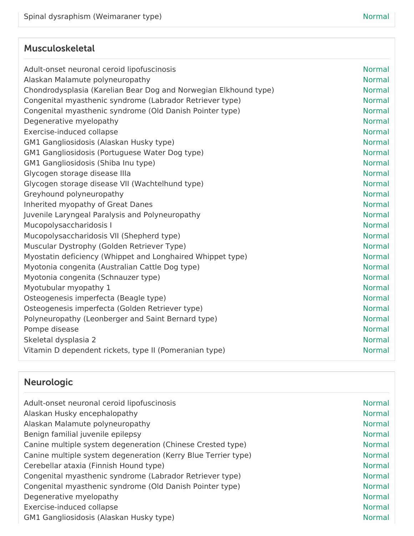## Musculoskeletal

| Adult-onset neuronal ceroid lipofuscinosis                       | <b>Normal</b> |
|------------------------------------------------------------------|---------------|
| Alaskan Malamute polyneuropathy                                  | <b>Normal</b> |
| Chondrodysplasia (Karelian Bear Dog and Norwegian Elkhound type) | <b>Normal</b> |
| Congenital myasthenic syndrome (Labrador Retriever type)         | <b>Normal</b> |
| Congenital myasthenic syndrome (Old Danish Pointer type)         | <b>Normal</b> |
| Degenerative myelopathy                                          | <b>Normal</b> |
| Exercise-induced collapse                                        | <b>Normal</b> |
| GM1 Gangliosidosis (Alaskan Husky type)                          | <b>Normal</b> |
| GM1 Gangliosidosis (Portuguese Water Dog type)                   | <b>Normal</b> |
| GM1 Gangliosidosis (Shiba Inu type)                              | <b>Normal</b> |
| Glycogen storage disease Illa                                    | <b>Normal</b> |
| Glycogen storage disease VII (Wachtelhund type)                  | <b>Normal</b> |
| Greyhound polyneuropathy                                         | <b>Normal</b> |
| Inherited myopathy of Great Danes                                | <b>Normal</b> |
| Juvenile Laryngeal Paralysis and Polyneuropathy                  | <b>Normal</b> |
| Mucopolysaccharidosis I                                          | <b>Normal</b> |
| Mucopolysaccharidosis VII (Shepherd type)                        | <b>Normal</b> |
| Muscular Dystrophy (Golden Retriever Type)                       | <b>Normal</b> |
| Myostatin deficiency (Whippet and Longhaired Whippet type)       | <b>Normal</b> |
| Myotonia congenita (Australian Cattle Dog type)                  | <b>Normal</b> |
| Myotonia congenita (Schnauzer type)                              | <b>Normal</b> |
| Myotubular myopathy 1                                            | <b>Normal</b> |
| Osteogenesis imperfecta (Beagle type)                            | <b>Normal</b> |
| Osteogenesis imperfecta (Golden Retriever type)                  | <b>Normal</b> |
| Polyneuropathy (Leonberger and Saint Bernard type)               | <b>Normal</b> |
| Pompe disease                                                    | <b>Normal</b> |
| Skeletal dysplasia 2                                             | <b>Normal</b> |
| Vitamin D dependent rickets, type II (Pomeranian type)           | <b>Normal</b> |
|                                                                  |               |

# Neurologic

| Adult-onset neuronal ceroid lipofuscinosis                    | <b>Normal</b> |
|---------------------------------------------------------------|---------------|
| Alaskan Husky encephalopathy                                  | <b>Normal</b> |
| Alaskan Malamute polyneuropathy                               | <b>Normal</b> |
| Benign familial juvenile epilepsy                             | <b>Normal</b> |
| Canine multiple system degeneration (Chinese Crested type)    | <b>Normal</b> |
| Canine multiple system degeneration (Kerry Blue Terrier type) | <b>Normal</b> |
| Cerebellar ataxia (Finnish Hound type)                        | <b>Normal</b> |
| Congenital myasthenic syndrome (Labrador Retriever type)      | <b>Normal</b> |
| Congenital myasthenic syndrome (Old Danish Pointer type)      | <b>Normal</b> |
| Degenerative myelopathy                                       | <b>Normal</b> |
| Exercise-induced collapse                                     | <b>Normal</b> |
| GM1 Gangliosidosis (Alaskan Husky type)                       | <b>Normal</b> |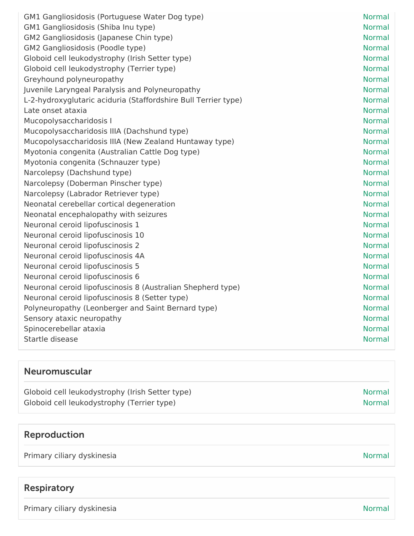| GM1 Gangliosidosis (Portuguese Water Dog type)                 | <b>Normal</b> |
|----------------------------------------------------------------|---------------|
| GM1 Gangliosidosis (Shiba Inu type)                            | <b>Normal</b> |
| GM2 Gangliosidosis (Japanese Chin type)                        | <b>Normal</b> |
| GM2 Gangliosidosis (Poodle type)                               | <b>Normal</b> |
| Globoid cell leukodystrophy (Irish Setter type)                | <b>Normal</b> |
| Globoid cell leukodystrophy (Terrier type)                     | <b>Normal</b> |
| Greyhound polyneuropathy                                       | <b>Normal</b> |
| Juvenile Laryngeal Paralysis and Polyneuropathy                | <b>Normal</b> |
| L-2-hydroxyglutaric aciduria (Staffordshire Bull Terrier type) | <b>Normal</b> |
| Late onset ataxia                                              | <b>Normal</b> |
| Mucopolysaccharidosis I                                        | <b>Normal</b> |
| Mucopolysaccharidosis IIIA (Dachshund type)                    | <b>Normal</b> |
| Mucopolysaccharidosis IIIA (New Zealand Huntaway type)         | <b>Normal</b> |
| Myotonia congenita (Australian Cattle Dog type)                | <b>Normal</b> |
| Myotonia congenita (Schnauzer type)                            | <b>Normal</b> |
| Narcolepsy (Dachshund type)                                    | <b>Normal</b> |
| Narcolepsy (Doberman Pinscher type)                            | <b>Normal</b> |
| Narcolepsy (Labrador Retriever type)                           | <b>Normal</b> |
| Neonatal cerebellar cortical degeneration                      | <b>Normal</b> |
| Neonatal encephalopathy with seizures                          | <b>Normal</b> |
| Neuronal ceroid lipofuscinosis 1                               | <b>Normal</b> |
| Neuronal ceroid lipofuscinosis 10                              | <b>Normal</b> |
| Neuronal ceroid lipofuscinosis 2                               | <b>Normal</b> |
| Neuronal ceroid lipofuscinosis 4A                              | <b>Normal</b> |
| Neuronal ceroid lipofuscinosis 5                               | <b>Normal</b> |
| Neuronal ceroid lipofuscinosis 6                               | <b>Normal</b> |
| Neuronal ceroid lipofuscinosis 8 (Australian Shepherd type)    | <b>Normal</b> |
| Neuronal ceroid lipofuscinosis 8 (Setter type)                 | <b>Normal</b> |
| Polyneuropathy (Leonberger and Saint Bernard type)             | <b>Normal</b> |
| Sensory ataxic neuropathy                                      | <b>Normal</b> |
| Spinocerebellar ataxia                                         | <b>Normal</b> |
| Startle disease                                                | <b>Normal</b> |
|                                                                |               |

## Neuromuscular

| Globoid cell leukodystrophy (Irish Setter type) | Normal |
|-------------------------------------------------|--------|
| Globoid cell leukodystrophy (Terrier type)      | Normal |

## Reproduction

Primary ciliary dyskinesia Normal American Communication of the Communication of the Normal Normal

## Respiratory

Primary ciliary dyskinesia Normal Normal Assembly and the University of the Normal Normal Normal